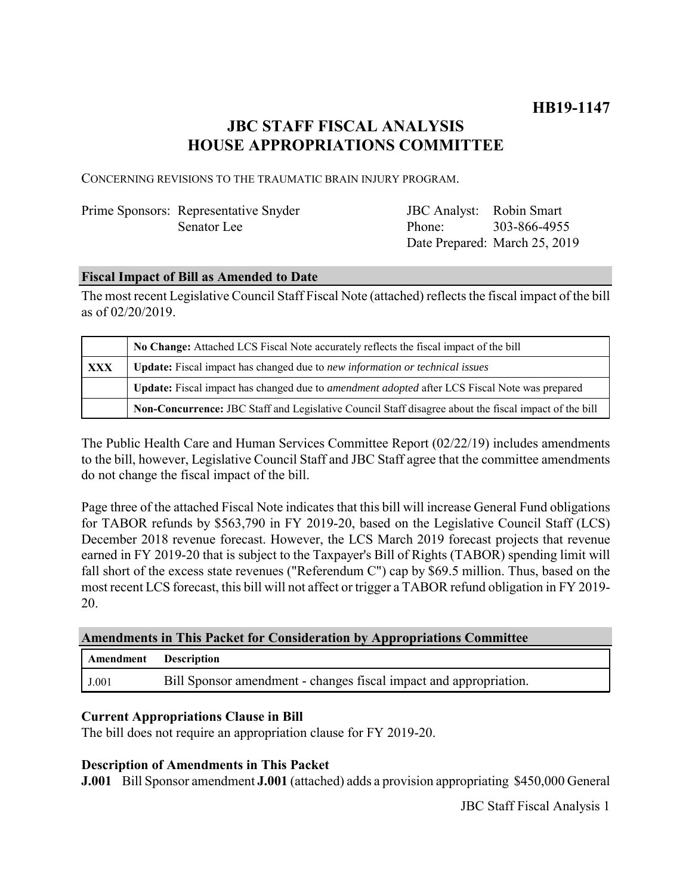# **JBC STAFF FISCAL ANALYSIS HOUSE APPROPRIATIONS COMMITTEE**

CONCERNING REVISIONS TO THE TRAUMATIC BRAIN INJURY PROGRAM.

# Prime Sponsors: Representative Snyder Senator Lee

JBC Analyst: Robin Smart Phone: Date Prepared: March 25, 2019 303-866-4955

## **Fiscal Impact of Bill as Amended to Date**

The most recent Legislative Council Staff Fiscal Note (attached) reflects the fiscal impact of the bill as of 02/20/2019.

|     | No Change: Attached LCS Fiscal Note accurately reflects the fiscal impact of the bill                       |
|-----|-------------------------------------------------------------------------------------------------------------|
| XXX | <b>Update:</b> Fiscal impact has changed due to new information or technical issues                         |
|     | <b>Update:</b> Fiscal impact has changed due to <i>amendment adopted</i> after LCS Fiscal Note was prepared |
|     | Non-Concurrence: JBC Staff and Legislative Council Staff disagree about the fiscal impact of the bill       |

The Public Health Care and Human Services Committee Report (02/22/19) includes amendments to the bill, however, Legislative Council Staff and JBC Staff agree that the committee amendments do not change the fiscal impact of the bill.

Page three of the attached Fiscal Note indicates that this bill will increase General Fund obligations for TABOR refunds by \$563,790 in FY 2019-20, based on the Legislative Council Staff (LCS) December 2018 revenue forecast. However, the LCS March 2019 forecast projects that revenue earned in FY 2019-20 that is subject to the Taxpayer's Bill of Rights (TABOR) spending limit will fall short of the excess state revenues ("Referendum C") cap by \$69.5 million. Thus, based on the most recent LCS forecast, this bill will not affect or trigger a TABOR refund obligation in FY 2019- 20.

### **Amendments in This Packet for Consideration by Appropriations Committee**

| Amendment Description |                                                                   |
|-----------------------|-------------------------------------------------------------------|
| J.001                 | Bill Sponsor amendment - changes fiscal impact and appropriation. |

# **Current Appropriations Clause in Bill**

The bill does not require an appropriation clause for FY 2019-20.

### **Description of Amendments in This Packet**

**J.001** Bill Sponsor amendment **J.001** (attached) adds a provision appropriating \$450,000 General

JBC Staff Fiscal Analysis 1